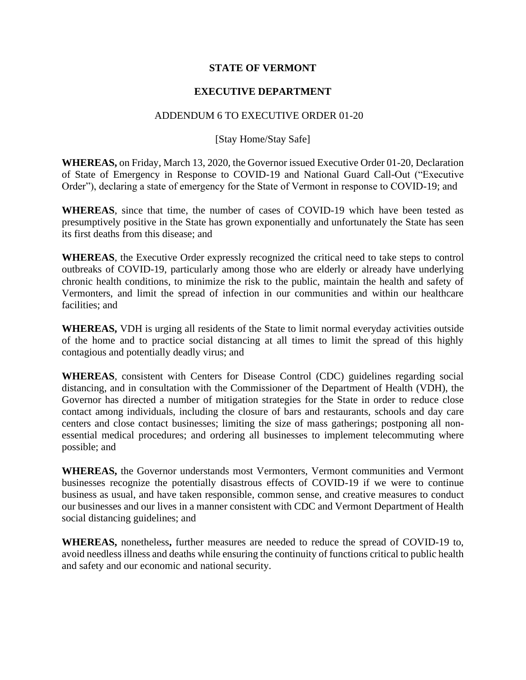## **STATE OF VERMONT**

## **EXECUTIVE DEPARTMENT**

## ADDENDUM 6 TO EXECUTIVE ORDER 01-20

## [Stay Home/Stay Safe]

**WHEREAS,** on Friday, March 13, 2020, the Governor issued Executive Order 01-20, Declaration of State of Emergency in Response to COVID-19 and National Guard Call-Out ("Executive Order"), declaring a state of emergency for the State of Vermont in response to COVID-19; and

**WHEREAS**, since that time, the number of cases of COVID-19 which have been tested as presumptively positive in the State has grown exponentially and unfortunately the State has seen its first deaths from this disease; and

**WHEREAS**, the Executive Order expressly recognized the critical need to take steps to control outbreaks of COVID-19, particularly among those who are elderly or already have underlying chronic health conditions, to minimize the risk to the public, maintain the health and safety of Vermonters, and limit the spread of infection in our communities and within our healthcare facilities; and

**WHEREAS,** VDH is urging all residents of the State to limit normal everyday activities outside of the home and to practice social distancing at all times to limit the spread of this highly contagious and potentially deadly virus; and

**WHEREAS**, consistent with Centers for Disease Control (CDC) guidelines regarding social distancing, and in consultation with the Commissioner of the Department of Health (VDH), the Governor has directed a number of mitigation strategies for the State in order to reduce close contact among individuals, including the closure of bars and restaurants, schools and day care centers and close contact businesses; limiting the size of mass gatherings; postponing all nonessential medical procedures; and ordering all businesses to implement telecommuting where possible; and

**WHEREAS,** the Governor understands most Vermonters, Vermont communities and Vermont businesses recognize the potentially disastrous effects of COVID-19 if we were to continue business as usual, and have taken responsible, common sense, and creative measures to conduct our businesses and our lives in a manner consistent with CDC and Vermont Department of Health social distancing guidelines; and

**WHEREAS,** nonetheless**,** further measures are needed to reduce the spread of COVID-19 to, avoid needless illness and deaths while ensuring the continuity of functions critical to public health and safety and our economic and national security.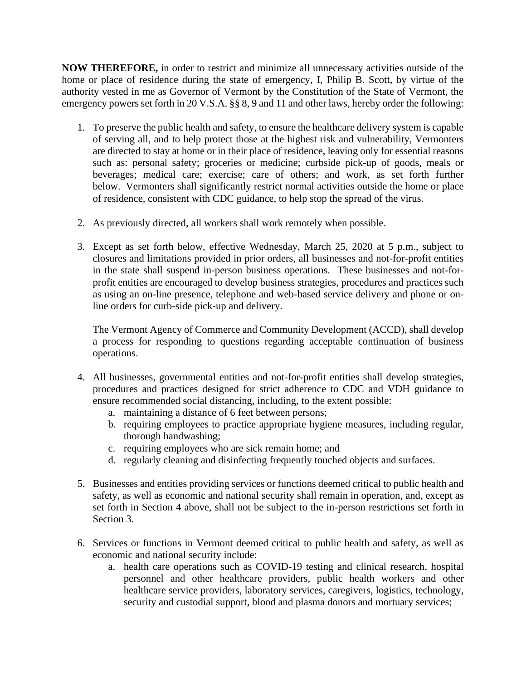**NOW THEREFORE,** in order to restrict and minimize all unnecessary activities outside of the home or place of residence during the state of emergency, I, Philip B. Scott, by virtue of the authority vested in me as Governor of Vermont by the Constitution of the State of Vermont, the emergency powers set forth in 20 V.S.A. §§ 8, 9 and 11 and other laws, hereby order the following:

- 1. To preserve the public health and safety, to ensure the healthcare delivery system is capable of serving all, and to help protect those at the highest risk and vulnerability, Vermonters are directed to stay at home or in their place of residence, leaving only for essential reasons such as: personal safety; groceries or medicine; curbside pick-up of goods, meals or beverages; medical care; exercise; care of others; and work, as set forth further below. Vermonters shall significantly restrict normal activities outside the home or place of residence, consistent with CDC guidance, to help stop the spread of the virus.
- 2. As previously directed, all workers shall work remotely when possible.
- 3. Except as set forth below, effective Wednesday, March 25, 2020 at 5 p.m., subject to closures and limitations provided in prior orders, all businesses and not-for-profit entities in the state shall suspend in-person business operations. These businesses and not-forprofit entities are encouraged to develop business strategies, procedures and practices such as using an on-line presence, telephone and web-based service delivery and phone or online orders for curb-side pick-up and delivery.

The Vermont Agency of Commerce and Community Development (ACCD), shall develop a process for responding to questions regarding acceptable continuation of business operations.

- 4. All businesses, governmental entities and not-for-profit entities shall develop strategies, procedures and practices designed for strict adherence to CDC and VDH guidance to ensure recommended social distancing, including, to the extent possible:
	- a. maintaining a distance of 6 feet between persons;
	- b. requiring employees to practice appropriate hygiene measures, including regular, thorough handwashing;
	- c. requiring employees who are sick remain home; and
	- d. regularly cleaning and disinfecting frequently touched objects and surfaces.
- 5. Businesses and entities providing services or functions deemed critical to public health and safety, as well as economic and national security shall remain in operation, and, except as set forth in Section 4 above, shall not be subject to the in-person restrictions set forth in Section 3.
- 6. Services or functions in Vermont deemed critical to public health and safety, as well as economic and national security include:
	- a. health care operations such as COVID-19 testing and clinical research, hospital personnel and other healthcare providers, public health workers and other healthcare service providers, laboratory services, caregivers, logistics, technology, security and custodial support, blood and plasma donors and mortuary services;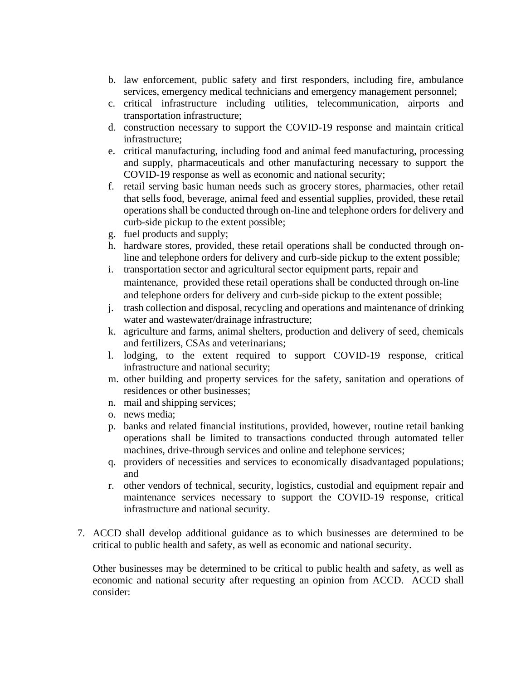- b. law enforcement, public safety and first responders, including fire, ambulance services, emergency medical technicians and emergency management personnel;
- c. critical infrastructure including utilities, telecommunication, airports and transportation infrastructure;
- d. construction necessary to support the COVID-19 response and maintain critical infrastructure;
- e. critical manufacturing, including food and animal feed manufacturing, processing and supply, pharmaceuticals and other manufacturing necessary to support the COVID-19 response as well as economic and national security;
- f. retail serving basic human needs such as grocery stores, pharmacies, other retail that sells food, beverage, animal feed and essential supplies, provided, these retail operations shall be conducted through on-line and telephone orders for delivery and curb-side pickup to the extent possible;
- g. fuel products and supply;
- h. hardware stores, provided, these retail operations shall be conducted through online and telephone orders for delivery and curb-side pickup to the extent possible;
- i. transportation sector and agricultural sector equipment parts, repair and maintenance, provided these retail operations shall be conducted through on-line and telephone orders for delivery and curb-side pickup to the extent possible;
- j. trash collection and disposal, recycling and operations and maintenance of drinking water and wastewater/drainage infrastructure;
- k. agriculture and farms, animal shelters, production and delivery of seed, chemicals and fertilizers, CSAs and veterinarians;
- l. lodging, to the extent required to support COVID-19 response, critical infrastructure and national security;
- m. other building and property services for the safety, sanitation and operations of residences or other businesses;
- n. mail and shipping services;
- o. news media;
- p. banks and related financial institutions, provided, however, routine retail banking operations shall be limited to transactions conducted through automated teller machines, drive-through services and online and telephone services;
- q. providers of necessities and services to economically disadvantaged populations; and
- r. other vendors of technical, security, logistics, custodial and equipment repair and maintenance services necessary to support the COVID-19 response, critical infrastructure and national security.
- 7. ACCD shall develop additional guidance as to which businesses are determined to be critical to public health and safety, as well as economic and national security.

Other businesses may be determined to be critical to public health and safety, as well as economic and national security after requesting an opinion from ACCD. ACCD shall consider: